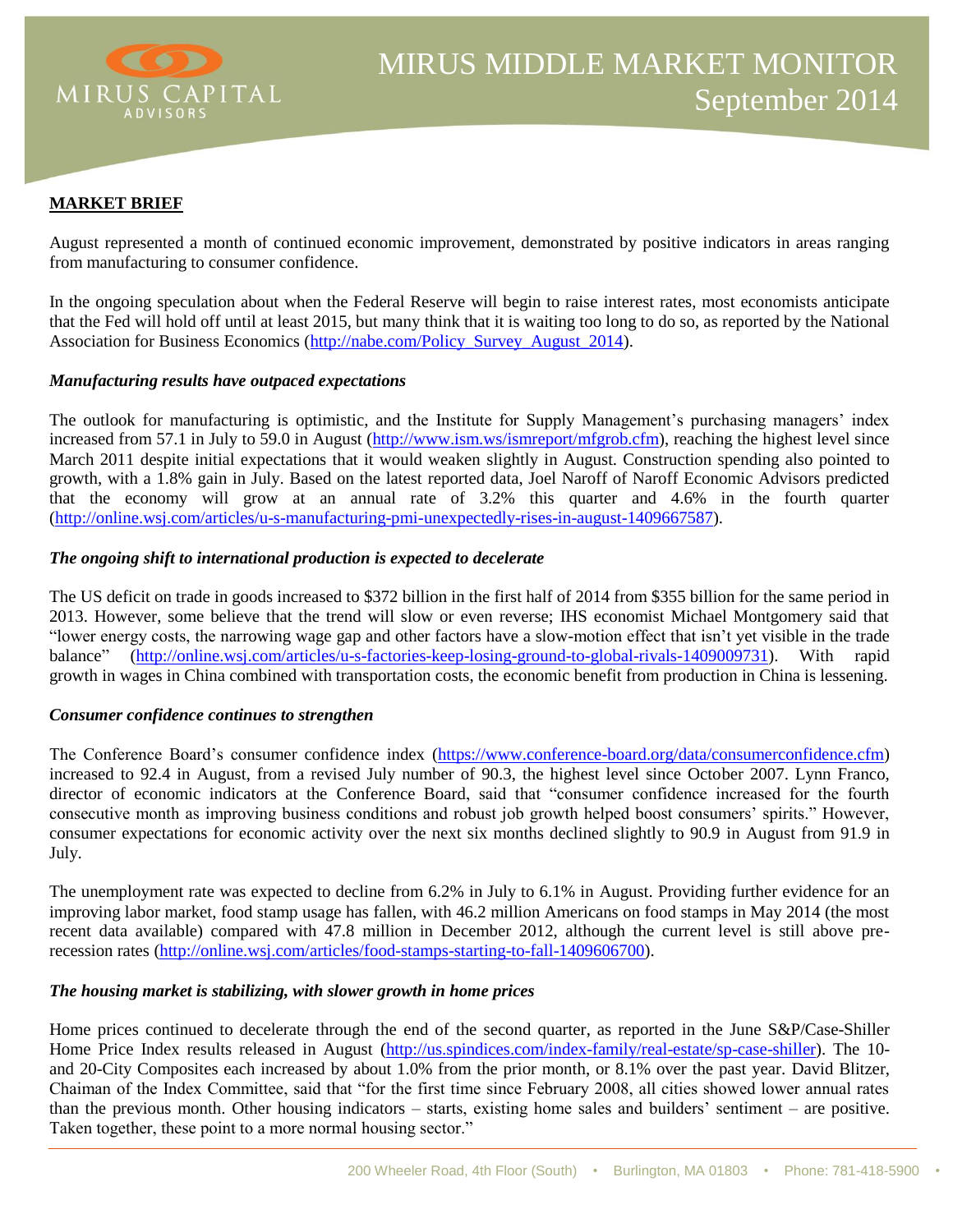

### **MARKET BRIEF**

August represented a month of continued economic improvement, demonstrated by positive indicators in areas ranging from manufacturing to consumer confidence.

In the ongoing speculation about when the Federal Reserve will begin to raise interest rates, most economists anticipate that the Fed will hold off until at least 2015, but many think that it is waiting too long to do so, as reported by the National Association for Business Economics [\(http://nabe.com/Policy\\_Survey\\_August\\_2014\)](http://nabe.com/Policy_Survey_August_2014).

### *Manufacturing results have outpaced expectations*

The outlook for manufacturing is optimistic, and the Institute for Supply Management's purchasing managers' index increased from 57.1 in July to 59.0 in August [\(http://www.ism.ws/ismreport/mfgrob.cfm\)](http://www.ism.ws/ismreport/mfgrob.cfm), reaching the highest level since March 2011 despite initial expectations that it would weaken slightly in August. Construction spending also pointed to growth, with a 1.8% gain in July. Based on the latest reported data, Joel Naroff of Naroff Economic Advisors predicted that the economy will grow at an annual rate of 3.2% this quarter and 4.6% in the fourth quarter [\(http://online.wsj.com/articles/u-s-manufacturing-pmi-unexpectedly-rises-in-august-1409667587\)](http://online.wsj.com/articles/u-s-manufacturing-pmi-unexpectedly-rises-in-august-1409667587).

### *The ongoing shift to international production is expected to decelerate*

The US deficit on trade in goods increased to \$372 billion in the first half of 2014 from \$355 billion for the same period in 2013. However, some believe that the trend will slow or even reverse; IHS economist Michael Montgomery said that "lower energy costs, the narrowing wage gap and other factors have a slow-motion effect that isn't yet visible in the trade balance" [\(http://online.wsj.com/articles/u-s-factories-keep-losing-ground-to-global-rivals-1409009731\)](http://online.wsj.com/articles/u-s-factories-keep-losing-ground-to-global-rivals-1409009731). With rapid growth in wages in China combined with transportation costs, the economic benefit from production in China is lessening.

### *Consumer confidence continues to strengthen*

The Conference Board's consumer confidence index [\(https://www.conference-board.org/data/consumerconfidence.cfm\)](https://www.conference-board.org/data/consumerconfidence.cfm) increased to 92.4 in August, from a revised July number of 90.3, the highest level since October 2007. Lynn Franco, director of economic indicators at the Conference Board, said that "consumer confidence increased for the fourth consecutive month as improving business conditions and robust job growth helped boost consumers' spirits." However, consumer expectations for economic activity over the next six months declined slightly to 90.9 in August from 91.9 in July.

The unemployment rate was expected to decline from 6.2% in July to 6.1% in August. Providing further evidence for an improving labor market, food stamp usage has fallen, with 46.2 million Americans on food stamps in May 2014 (the most recent data available) compared with 47.8 million in December 2012, although the current level is still above prerecession rates [\(http://online.wsj.com/articles/food-stamps-starting-to-fall-1409606700\)](http://online.wsj.com/articles/food-stamps-starting-to-fall-1409606700).

#### *The housing market is stabilizing, with slower growth in home prices*

Home prices continued to decelerate through the end of the second quarter, as reported in the June S&P/Case-Shiller Home Price Index results released in August [\(http://us.spindices.com/index-family/real-estate/sp-case-shiller\)](http://us.spindices.com/index-family/real-estate/sp-case-shiller). The 10 and 20-City Composites each increased by about 1.0% from the prior month, or 8.1% over the past year. David Blitzer, Chaiman of the Index Committee, said that "for the first time since February 2008, all cities showed lower annual rates than the previous month. Other housing indicators – starts, existing home sales and builders' sentiment – are positive. Taken together, these point to a more normal housing sector."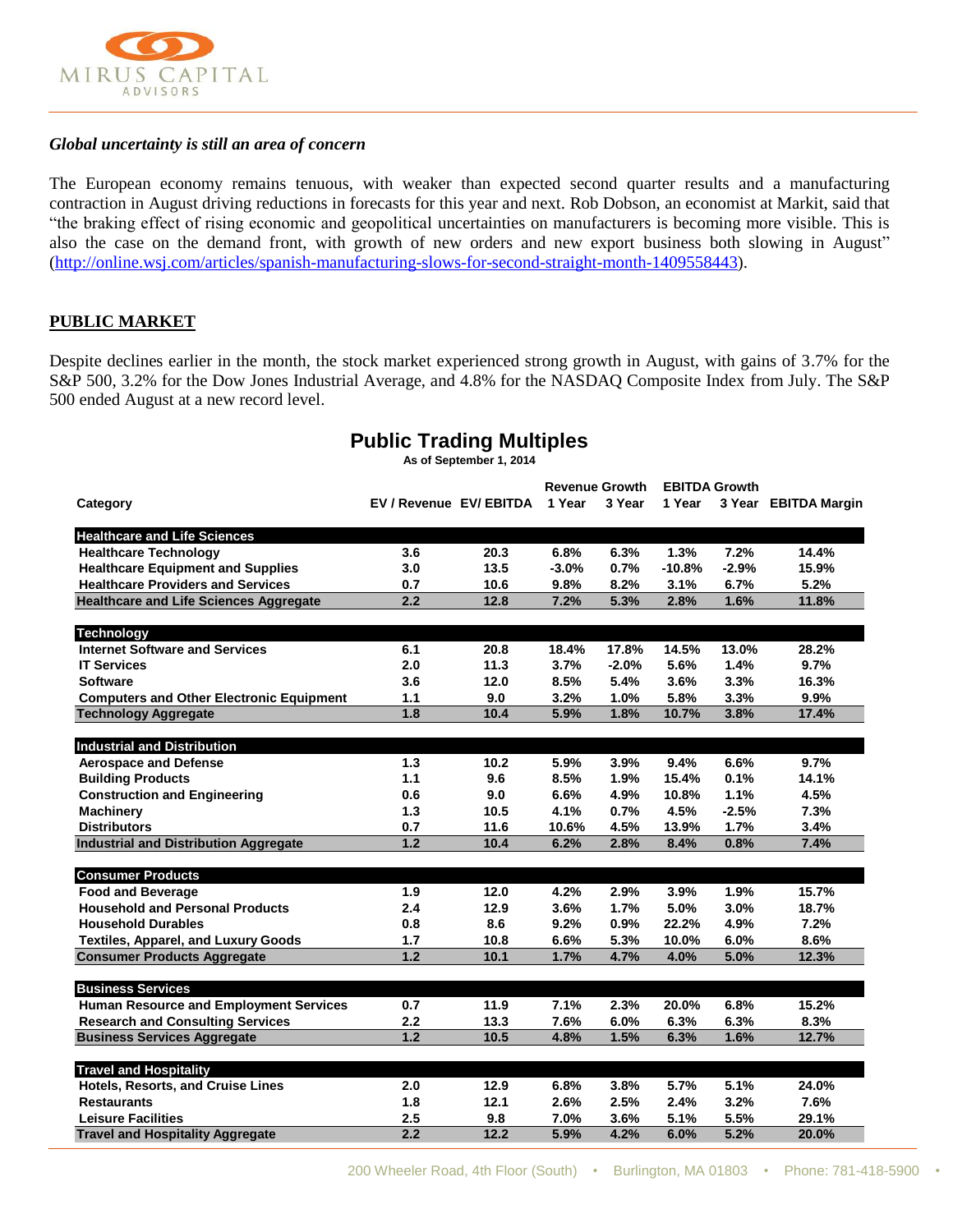

### *Global uncertainty is still an area of concern*

The European economy remains tenuous, with weaker than expected second quarter results and a manufacturing contraction in August driving reductions in forecasts for this year and next. Rob Dobson, an economist at Markit, said that "the braking effect of rising economic and geopolitical uncertainties on manufacturers is becoming more visible. This is also the case on the demand front, with growth of new orders and new export business both slowing in August" [\(http://online.wsj.com/articles/spanish-manufacturing-slows-for-second-straight-month-1409558443\)](http://online.wsj.com/articles/spanish-manufacturing-slows-for-second-straight-month-1409558443).

# **PUBLIC MARKET**

Despite declines earlier in the month, the stock market experienced strong growth in August, with gains of 3.7% for the S&P 500, 3.2% for the Dow Jones Industrial Average, and 4.8% for the NASDAQ Composite Index from July. The S&P 500 ended August at a new record level.

| As of September 1, 2014                         |                         |      |                       |         |                      |         |                      |
|-------------------------------------------------|-------------------------|------|-----------------------|---------|----------------------|---------|----------------------|
|                                                 |                         |      | <b>Revenue Growth</b> |         | <b>EBITDA Growth</b> |         |                      |
| Category                                        | EV / Revenue EV/ EBITDA |      | 1 Year                | 3 Year  | 1 Year               |         | 3 Year EBITDA Margin |
| <b>Healthcare and Life Sciences</b>             |                         |      |                       |         |                      |         |                      |
| <b>Healthcare Technology</b>                    | 3.6                     | 20.3 | 6.8%                  | 6.3%    | 1.3%                 | 7.2%    | 14.4%                |
| <b>Healthcare Equipment and Supplies</b>        | 3.0                     | 13.5 | $-3.0%$               | 0.7%    | $-10.8%$             | $-2.9%$ | 15.9%                |
| <b>Healthcare Providers and Services</b>        | 0.7                     | 10.6 | 9.8%                  | 8.2%    | 3.1%                 | 6.7%    | 5.2%                 |
| <b>Healthcare and Life Sciences Aggregate</b>   | 2.2                     | 12.8 | 7.2%                  | 5.3%    | 2.8%                 | 1.6%    | 11.8%                |
| <b>Technology</b>                               |                         |      |                       |         |                      |         |                      |
| <b>Internet Software and Services</b>           | 6.1                     | 20.8 | 18.4%                 | 17.8%   | 14.5%                | 13.0%   | 28.2%                |
| <b>IT Services</b>                              | 2.0                     | 11.3 | 3.7%                  | $-2.0%$ | 5.6%                 | 1.4%    | 9.7%                 |
| <b>Software</b>                                 | 3.6                     | 12.0 | 8.5%                  | 5.4%    | 3.6%                 | 3.3%    | 16.3%                |
| <b>Computers and Other Electronic Equipment</b> | 1.1                     | 9.0  | 3.2%                  | 1.0%    | 5.8%                 | 3.3%    | 9.9%                 |
| <b>Technology Aggregate</b>                     | 1.8                     | 10.4 | 5.9%                  | 1.8%    | 10.7%                | 3.8%    | 17.4%                |
| <b>Industrial and Distribution</b>              |                         |      |                       |         |                      |         |                      |
| <b>Aerospace and Defense</b>                    | 1.3                     | 10.2 | 5.9%                  | 3.9%    | 9.4%                 | 6.6%    | 9.7%                 |
| <b>Building Products</b>                        | $1.1$                   | 9.6  | 8.5%                  | 1.9%    | 15.4%                | 0.1%    | 14.1%                |
| <b>Construction and Engineering</b>             | 0.6                     | 9.0  | 6.6%                  | 4.9%    | 10.8%                | 1.1%    | 4.5%                 |
| <b>Machinery</b>                                | 1.3                     | 10.5 | 4.1%                  | 0.7%    | 4.5%                 | $-2.5%$ | 7.3%                 |
| <b>Distributors</b>                             | 0.7                     | 11.6 | 10.6%                 | 4.5%    | 13.9%                | 1.7%    | 3.4%                 |
| <b>Industrial and Distribution Aggregate</b>    | $1.2$                   | 10.4 | 6.2%                  | 2.8%    | 8.4%                 | 0.8%    | 7.4%                 |
| <b>Consumer Products</b>                        |                         |      |                       |         |                      |         |                      |
| <b>Food and Beverage</b>                        | 1.9                     | 12.0 | 4.2%                  | $2.9\%$ | 3.9%                 | 1.9%    | 15.7%                |
| <b>Household and Personal Products</b>          | 2.4                     | 12.9 | 3.6%                  | 1.7%    | 5.0%                 | 3.0%    | 18.7%                |
| <b>Household Durables</b>                       | 0.8                     | 8.6  | 9.2%                  | 0.9%    | 22.2%                | 4.9%    | 7.2%                 |
| <b>Textiles, Apparel, and Luxury Goods</b>      | 1.7                     | 10.8 | 6.6%                  | 5.3%    | 10.0%                | 6.0%    | 8.6%                 |
| <b>Consumer Products Aggregate</b>              | $1.2$                   | 10.1 | 1.7%                  | 4.7%    | 4.0%                 | 5.0%    | 12.3%                |
| <b>Business Services</b>                        |                         |      |                       |         |                      |         |                      |
| <b>Human Resource and Employment Services</b>   | 0.7                     | 11.9 | 7.1%                  | 2.3%    | 20.0%                | 6.8%    | 15.2%                |
| <b>Research and Consulting Services</b>         | 2.2                     | 13.3 | 7.6%                  | 6.0%    | 6.3%                 | 6.3%    | 8.3%                 |
| <b>Business Services Aggregate</b>              | 1.2                     | 10.5 | 4.8%                  | 1.5%    | 6.3%                 | $1.6\%$ | 12.7%                |
| <b>Travel and Hospitality</b>                   |                         |      |                       |         |                      |         |                      |
| Hotels, Resorts, and Cruise Lines               | 2.0                     | 12.9 | 6.8%                  | 3.8%    | 5.7%                 | 5.1%    | 24.0%                |
| <b>Restaurants</b>                              | 1.8                     | 12.1 | 2.6%                  | 2.5%    | 2.4%                 | 3.2%    | 7.6%                 |
| <b>Leisure Facilities</b>                       |                         |      |                       |         |                      |         |                      |
|                                                 | 2.5                     | 9.8  | 7.0%                  | 3.6%    | 5.1%                 | 5.5%    | 29.1%                |

# **Public Trading Multiples**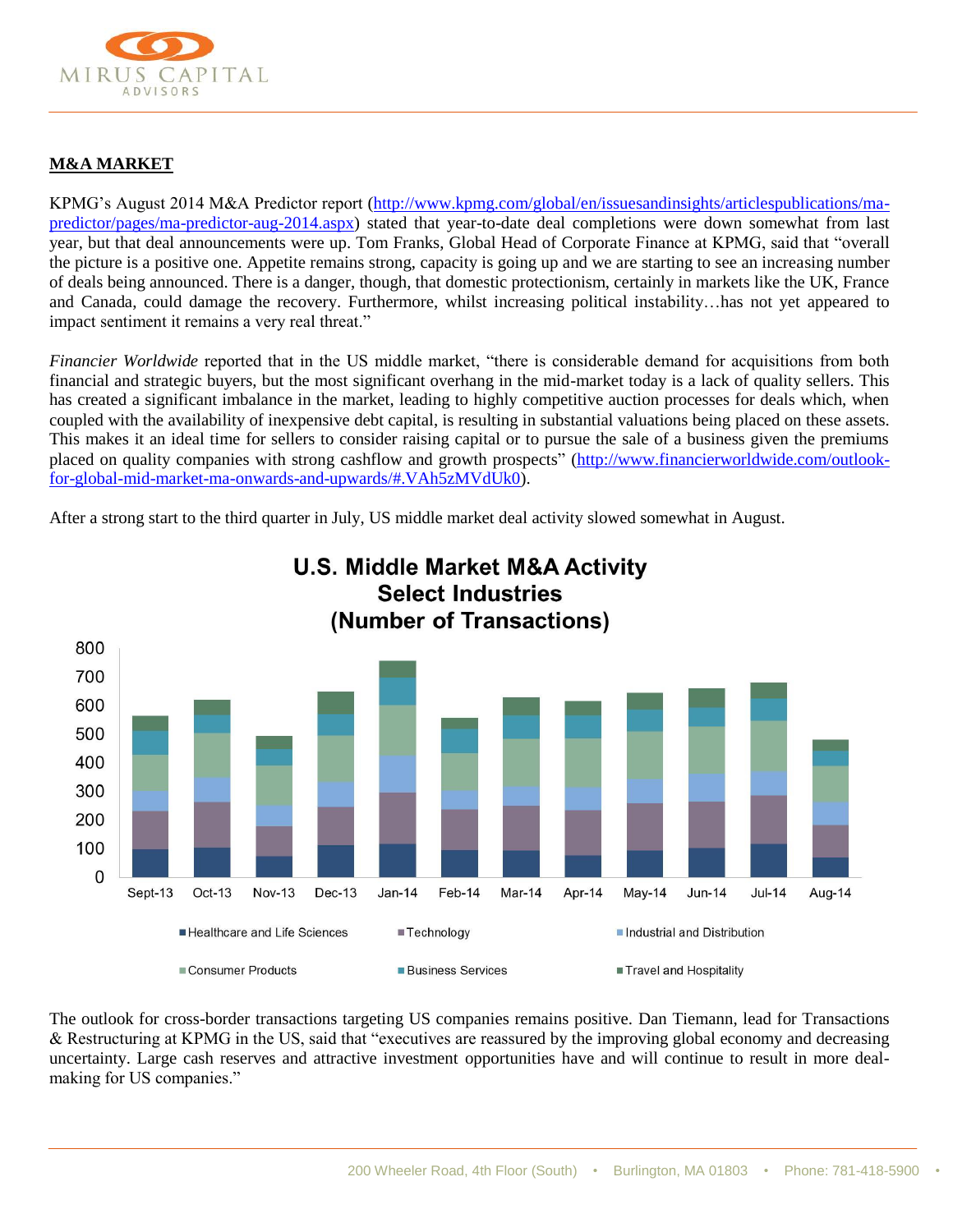

# **M&A MARKET**

KPMG's August 2014 M&A Predictor report [\(http://www.kpmg.com/global/en/issuesandinsights/articlespublications/ma](http://www.kpmg.com/global/en/issuesandinsights/articlespublications/ma-predictor/pages/ma-predictor-aug-2014.aspx)[predictor/pages/ma-predictor-aug-2014.aspx\)](http://www.kpmg.com/global/en/issuesandinsights/articlespublications/ma-predictor/pages/ma-predictor-aug-2014.aspx) stated that year-to-date deal completions were down somewhat from last year, but that deal announcements were up. Tom Franks, Global Head of Corporate Finance at KPMG, said that "overall the picture is a positive one. Appetite remains strong, capacity is going up and we are starting to see an increasing number of deals being announced. There is a danger, though, that domestic protectionism, certainly in markets like the UK, France and Canada, could damage the recovery. Furthermore, whilst increasing political instability…has not yet appeared to impact sentiment it remains a very real threat."

*Financier Worldwide* reported that in the US middle market, "there is considerable demand for acquisitions from both financial and strategic buyers, but the most significant overhang in the mid-market today is a lack of quality sellers. This has created a significant imbalance in the market, leading to highly competitive auction processes for deals which, when coupled with the availability of inexpensive debt capital, is resulting in substantial valuations being placed on these assets. This makes it an ideal time for sellers to consider raising capital or to pursue the sale of a business given the premiums placed on quality companies with strong cashflow and growth prospects" [\(http://www.financierworldwide.com/outlook](http://www.financierworldwide.com/outlook-for-global-mid-market-ma-onwards-and-upwards/#.VAh5zMVdUk0)[for-global-mid-market-ma-onwards-and-upwards/#.VAh5zMVdUk0\)](http://www.financierworldwide.com/outlook-for-global-mid-market-ma-onwards-and-upwards/#.VAh5zMVdUk0).

After a strong start to the third quarter in July, US middle market deal activity slowed somewhat in August.



# **U.S. Middle Market M&A Activity Select Industries**

The outlook for cross-border transactions targeting US companies remains positive. Dan Tiemann, lead for Transactions & Restructuring at KPMG in the US, said that "executives are reassured by the improving global economy and decreasing uncertainty. Large cash reserves and attractive investment opportunities have and will continue to result in more dealmaking for US companies."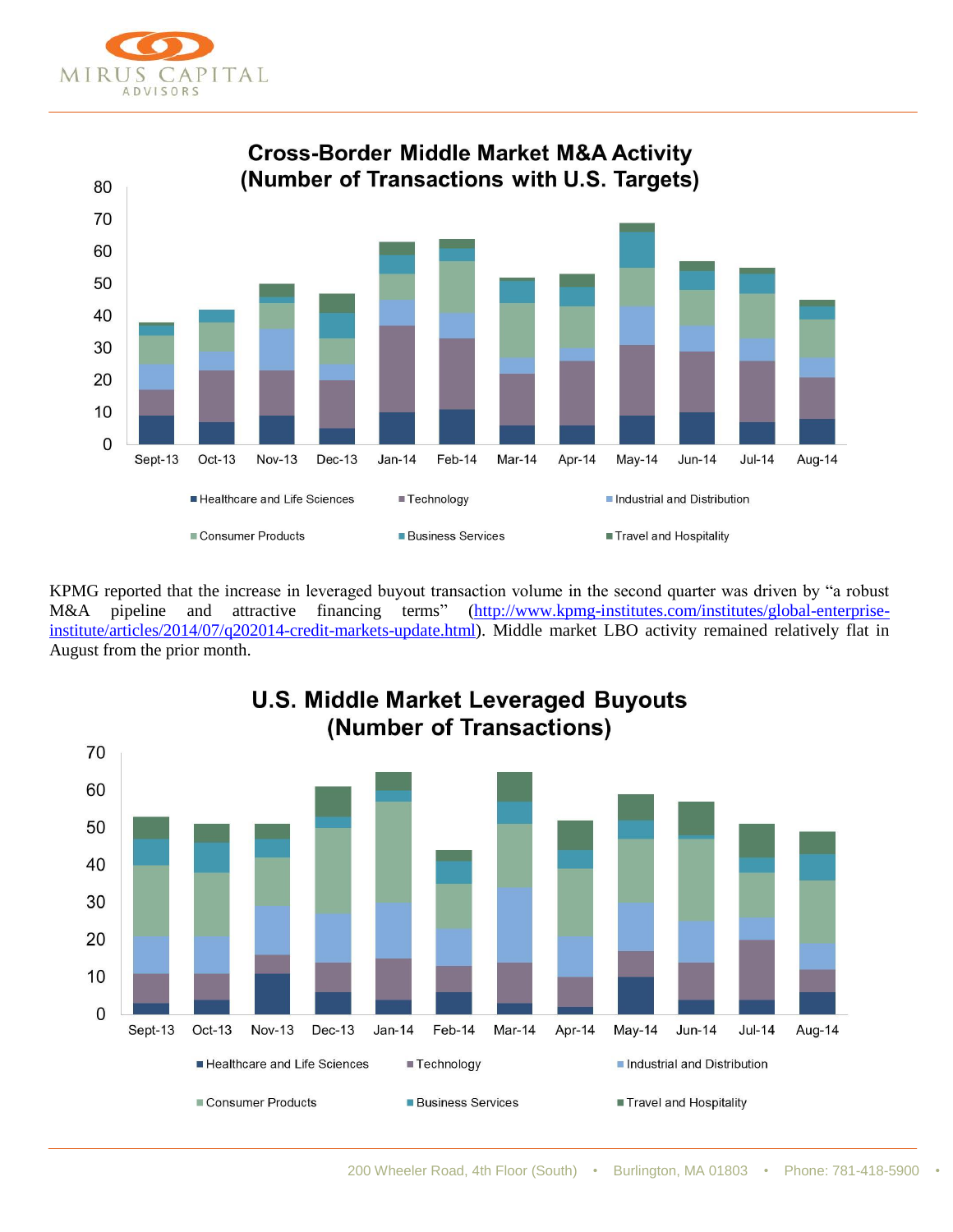



KPMG reported that the increase in leveraged buyout transaction volume in the second quarter was driven by "a robust M&A pipeline and attractive financing terms" [\(http://www.kpmg-institutes.com/institutes/global-enterprise](http://www.kpmg-institutes.com/institutes/global-enterprise-institute/articles/2014/07/q202014-credit-markets-update.html)[institute/articles/2014/07/q202014-credit-markets-update.html\)](http://www.kpmg-institutes.com/institutes/global-enterprise-institute/articles/2014/07/q202014-credit-markets-update.html). Middle market LBO activity remained relatively flat in August from the prior month.

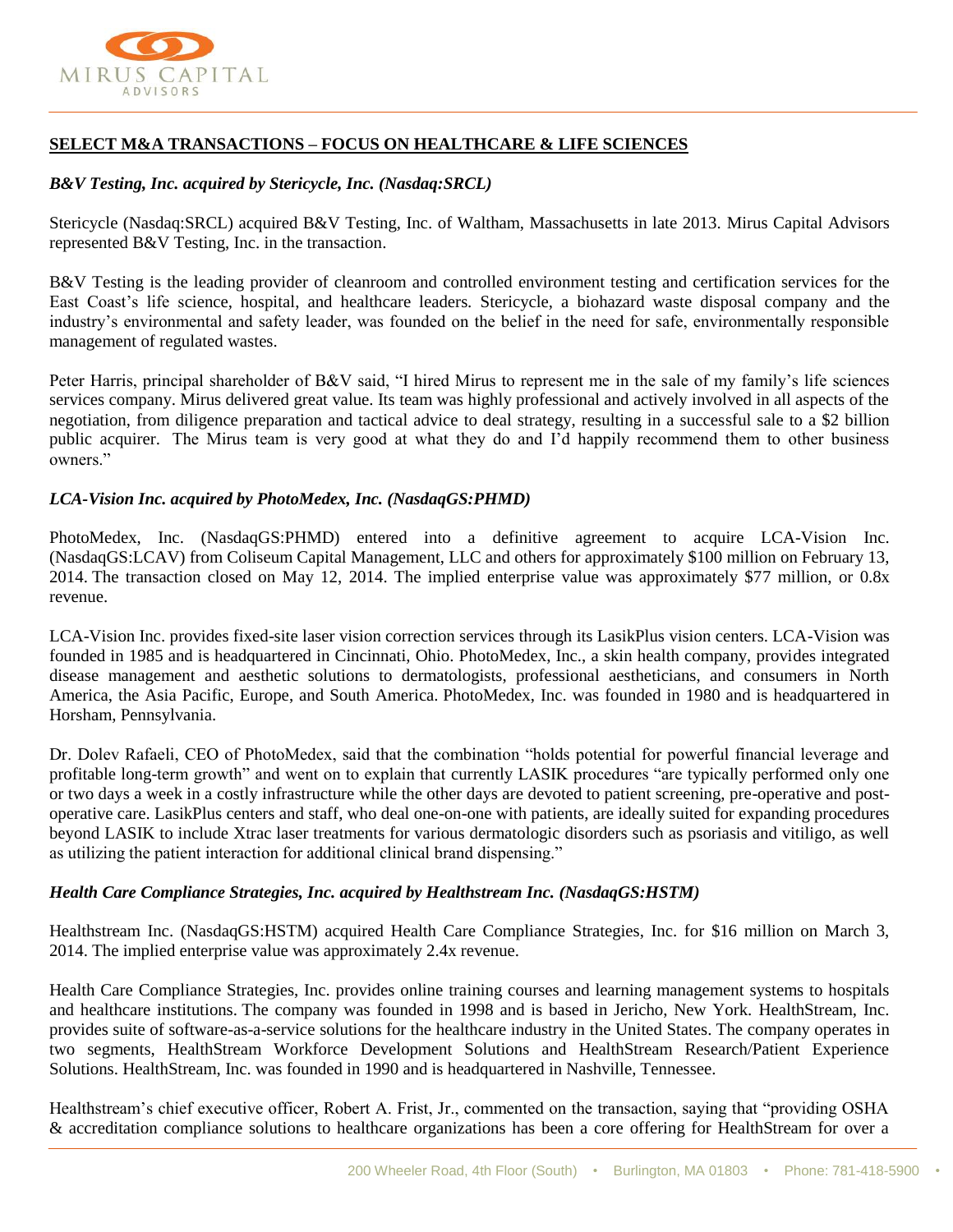

# **SELECT M&A TRANSACTIONS – FOCUS ON HEALTHCARE & LIFE SCIENCES**

### *B&V Testing, Inc. acquired by Stericycle, Inc. (Nasdaq:SRCL)*

Stericycle (Nasdaq:SRCL) acquired B&V Testing, Inc. of Waltham, Massachusetts in late 2013. Mirus Capital Advisors represented B&V Testing, Inc. in the transaction.

B&V Testing is the leading provider of cleanroom and controlled environment testing and certification services for the East Coast's life science, hospital, and healthcare leaders. Stericycle, a biohazard waste disposal company and the industry's environmental and safety leader, was founded on the belief in the need for safe, environmentally responsible management of regulated wastes.

Peter Harris, principal shareholder of B&V said, "I hired Mirus to represent me in the sale of my family's life sciences services company. Mirus delivered great value. Its team was highly professional and actively involved in all aspects of the negotiation, from diligence preparation and tactical advice to deal strategy, resulting in a successful sale to a \$2 billion public acquirer. The Mirus team is very good at what they do and I'd happily recommend them to other business owners."

### *LCA-Vision Inc. acquired by PhotoMedex, Inc. (NasdaqGS:PHMD)*

PhotoMedex, Inc. (NasdaqGS:PHMD) entered into a definitive agreement to acquire LCA-Vision Inc. (NasdaqGS:LCAV) from Coliseum Capital Management, LLC and others for approximately \$100 million on February 13, 2014. The transaction closed on May 12, 2014. The implied enterprise value was approximately \$77 million, or 0.8x revenue.

LCA-Vision Inc. provides fixed-site laser vision correction services through its LasikPlus vision centers. LCA-Vision was founded in 1985 and is headquartered in Cincinnati, Ohio. PhotoMedex, Inc., a skin health company, provides integrated disease management and aesthetic solutions to dermatologists, professional aestheticians, and consumers in North America, the Asia Pacific, Europe, and South America. PhotoMedex, Inc. was founded in 1980 and is headquartered in Horsham, Pennsylvania.

Dr. Dolev Rafaeli, CEO of PhotoMedex, said that the combination "holds potential for powerful financial leverage and profitable long-term growth" and went on to explain that currently LASIK procedures "are typically performed only one or two days a week in a costly infrastructure while the other days are devoted to patient screening, pre-operative and postoperative care. LasikPlus centers and staff, who deal one-on-one with patients, are ideally suited for expanding procedures beyond LASIK to include Xtrac laser treatments for various dermatologic disorders such as psoriasis and vitiligo, as well as utilizing the patient interaction for additional clinical brand dispensing."

### *Health Care Compliance Strategies, Inc. acquired by Healthstream Inc. (NasdaqGS:HSTM)*

Healthstream Inc. (NasdaqGS:HSTM) acquired Health Care Compliance Strategies, Inc. for \$16 million on March 3, 2014. The implied enterprise value was approximately 2.4x revenue.

Health Care Compliance Strategies, Inc. provides online training courses and learning management systems to hospitals and healthcare institutions. The company was founded in 1998 and is based in Jericho, New York. HealthStream, Inc. provides suite of software-as-a-service solutions for the healthcare industry in the United States. The company operates in two segments, HealthStream Workforce Development Solutions and HealthStream Research/Patient Experience Solutions. HealthStream, Inc. was founded in 1990 and is headquartered in Nashville, Tennessee.

Healthstream's chief executive officer, Robert A. Frist, Jr., commented on the transaction, saying that "providing OSHA & accreditation compliance solutions to healthcare organizations has been a core offering for HealthStream for over a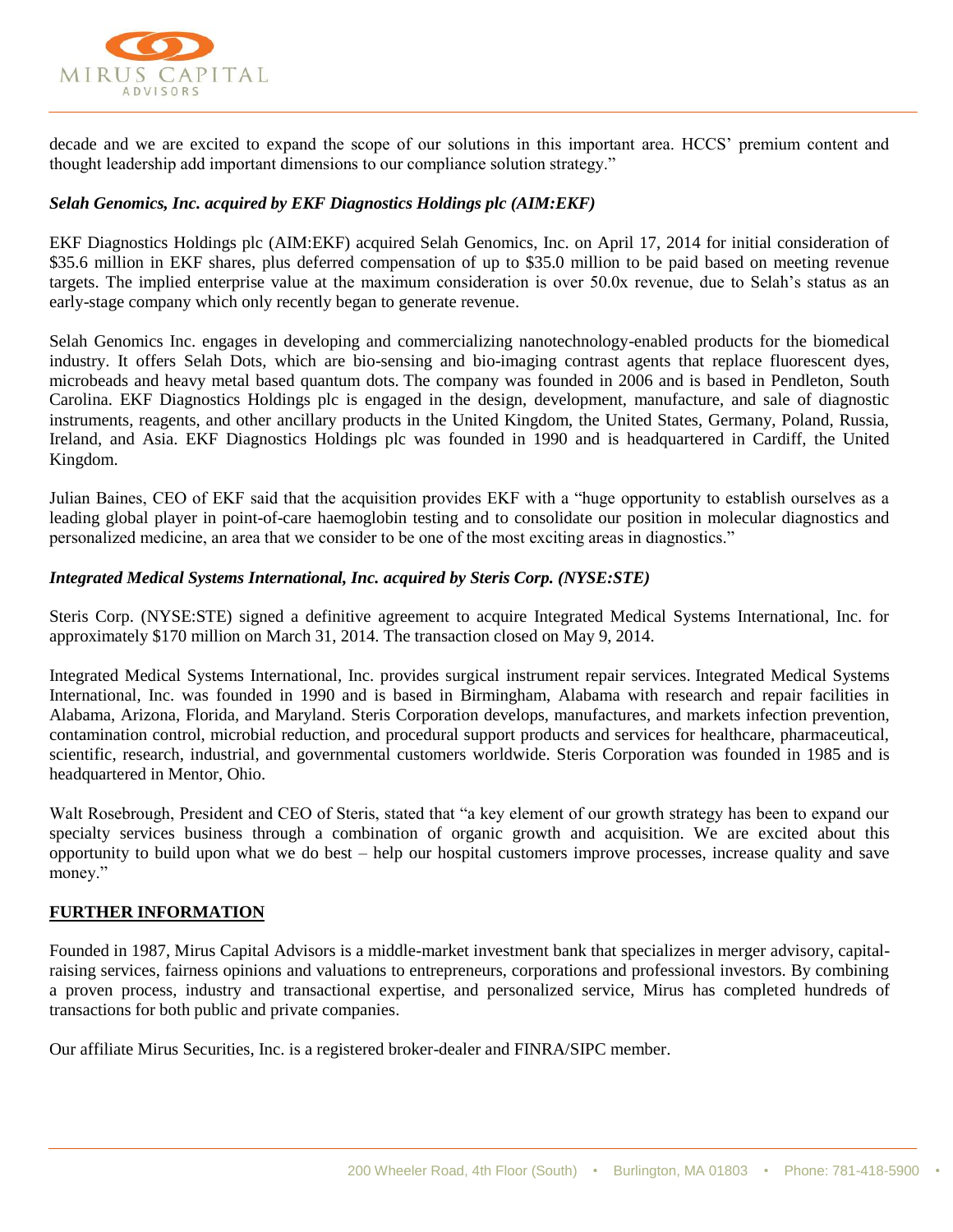

decade and we are excited to expand the scope of our solutions in this important area. HCCS' premium content and thought leadership add important dimensions to our compliance solution strategy."

### *Selah Genomics, Inc. acquired by EKF Diagnostics Holdings plc (AIM:EKF)*

EKF Diagnostics Holdings plc (AIM:EKF) acquired Selah Genomics, Inc. on April 17, 2014 for initial consideration of \$35.6 million in EKF shares, plus deferred compensation of up to \$35.0 million to be paid based on meeting revenue targets. The implied enterprise value at the maximum consideration is over 50.0x revenue, due to Selah's status as an early-stage company which only recently began to generate revenue.

Selah Genomics Inc. engages in developing and commercializing nanotechnology-enabled products for the biomedical industry. It offers Selah Dots, which are bio-sensing and bio-imaging contrast agents that replace fluorescent dyes, microbeads and heavy metal based quantum dots. The company was founded in 2006 and is based in Pendleton, South Carolina. EKF Diagnostics Holdings plc is engaged in the design, development, manufacture, and sale of diagnostic instruments, reagents, and other ancillary products in the United Kingdom, the United States, Germany, Poland, Russia, Ireland, and Asia. EKF Diagnostics Holdings plc was founded in 1990 and is headquartered in Cardiff, the United Kingdom.

Julian Baines, CEO of EKF said that the acquisition provides EKF with a "huge opportunity to establish ourselves as a leading global player in point-of-care haemoglobin testing and to consolidate our position in molecular diagnostics and personalized medicine, an area that we consider to be one of the most exciting areas in diagnostics."

### *Integrated Medical Systems International, Inc. acquired by Steris Corp. (NYSE:STE)*

Steris Corp. (NYSE:STE) signed a definitive agreement to acquire Integrated Medical Systems International, Inc. for approximately \$170 million on March 31, 2014. The transaction closed on May 9, 2014.

Integrated Medical Systems International, Inc. provides surgical instrument repair services. Integrated Medical Systems International, Inc. was founded in 1990 and is based in Birmingham, Alabama with research and repair facilities in Alabama, Arizona, Florida, and Maryland. Steris Corporation develops, manufactures, and markets infection prevention, contamination control, microbial reduction, and procedural support products and services for healthcare, pharmaceutical, scientific, research, industrial, and governmental customers worldwide. Steris Corporation was founded in 1985 and is headquartered in Mentor, Ohio.

Walt Rosebrough, President and CEO of Steris, stated that "a key element of our growth strategy has been to expand our specialty services business through a combination of organic growth and acquisition. We are excited about this opportunity to build upon what we do best – help our hospital customers improve processes, increase quality and save money."

### **FURTHER INFORMATION**

Founded in 1987, Mirus Capital Advisors is a middle-market investment bank that specializes in merger advisory, capitalraising services, fairness opinions and valuations to entrepreneurs, corporations and professional investors. By combining a proven process, industry and transactional expertise, and personalized service, Mirus has completed hundreds of transactions for both public and private companies.

Our affiliate Mirus Securities, Inc. is a registered broker-dealer and FINRA/SIPC member.